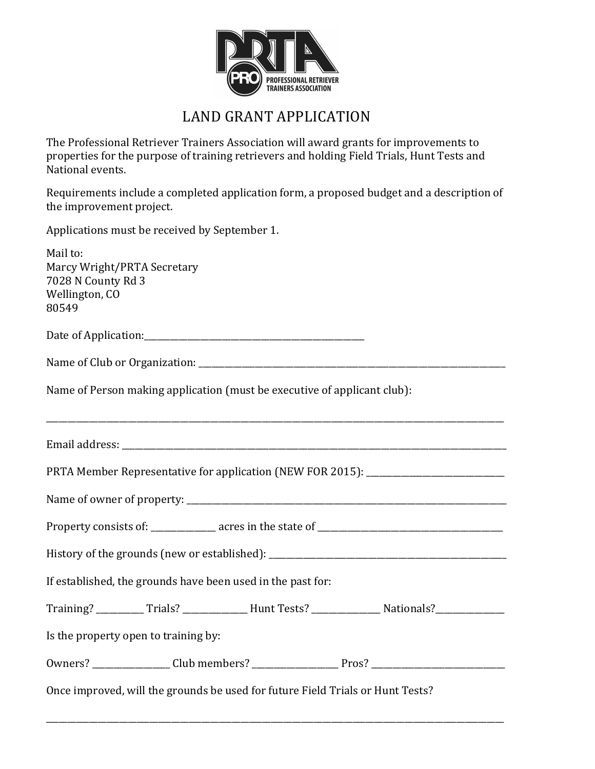

## LAND GRANT APPLICATION

The Professional Retriever Trainers Association will award grants for improvements to properties for the purpose of training retrievers and holding Field Trials, Hunt Tests and National events.

Requirements include a completed application form, a proposed budget and a description of the improvement project.

Applications must be received by September 1.

| Mail to:<br>Marcy Wright/PRTA Secretary<br>7028 N County Rd 3<br>Wellington, CO<br>80549             |
|------------------------------------------------------------------------------------------------------|
|                                                                                                      |
|                                                                                                      |
| Name of Person making application (must be executive of applicant club):                             |
|                                                                                                      |
| PRTA Member Representative for application (NEW FOR 2015): _____________________                     |
|                                                                                                      |
|                                                                                                      |
|                                                                                                      |
| If established, the grounds have been used in the past for:                                          |
| Training? ___________Trials? _______________Hunt Tests? ________________Nationals? ________________  |
| Is the property open to training by:                                                                 |
| 0wners? _________________Club members? _____________________Pros? __________________________________ |
| Once improved, will the grounds be used for future Field Trials or Hunt Tests?                       |

\_\_\_\_\_\_\_\_\_\_\_\_\_\_\_\_\_\_\_\_\_\_\_\_\_\_\_\_\_\_\_\_\_\_\_\_\_\_\_\_\_\_\_\_\_\_\_\_\_\_\_\_\_\_\_\_\_\_\_\_\_\_\_\_\_\_\_\_\_\_\_\_\_\_\_\_\_\_\_\_\_\_\_\_\_\_\_\_\_\_\_\_\_\_\_\_\_\_\_\_\_\_\_\_\_\_